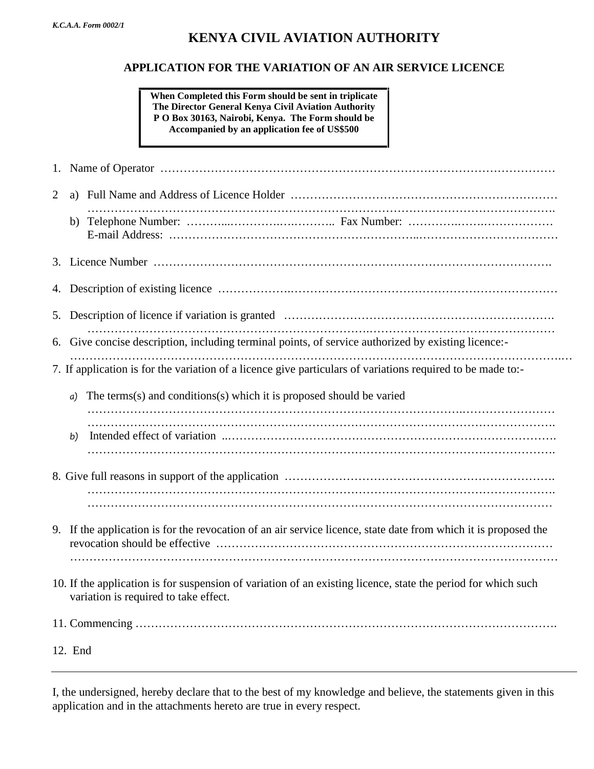## **KENYA CIVIL AVIATION AUTHORITY**

## **APPLICATION FOR THE VARIATION OF AN AIR SERVICE LICENCE**

**When Completed this Form should be sent in triplicate The Director General Kenya Civil Aviation Authority P O Box 30163, Nairobi, Kenya. The Form should be Accompanied by an application fee of US\$500**

| 2 |                                                                                                                                                        |  |  |  |
|---|--------------------------------------------------------------------------------------------------------------------------------------------------------|--|--|--|
|   |                                                                                                                                                        |  |  |  |
|   |                                                                                                                                                        |  |  |  |
|   |                                                                                                                                                        |  |  |  |
|   |                                                                                                                                                        |  |  |  |
|   | Give concise description, including terminal points, of service authorized by existing licence:-<br>6.                                                 |  |  |  |
|   | 7. If application is for the variation of a licence give particulars of variations required to be made to:-                                            |  |  |  |
|   | The terms(s) and conditions(s) which it is proposed should be varied<br>a)                                                                             |  |  |  |
|   | b)                                                                                                                                                     |  |  |  |
|   |                                                                                                                                                        |  |  |  |
|   |                                                                                                                                                        |  |  |  |
|   | 9. If the application is for the revocation of an air service licence, state date from which it is proposed the                                        |  |  |  |
|   | 10. If the application is for suspension of variation of an existing licence, state the period for which such<br>variation is required to take effect. |  |  |  |
|   |                                                                                                                                                        |  |  |  |
|   | 12. End                                                                                                                                                |  |  |  |
|   |                                                                                                                                                        |  |  |  |

I, the undersigned, hereby declare that to the best of my knowledge and believe, the statements given in this application and in the attachments hereto are true in every respect.